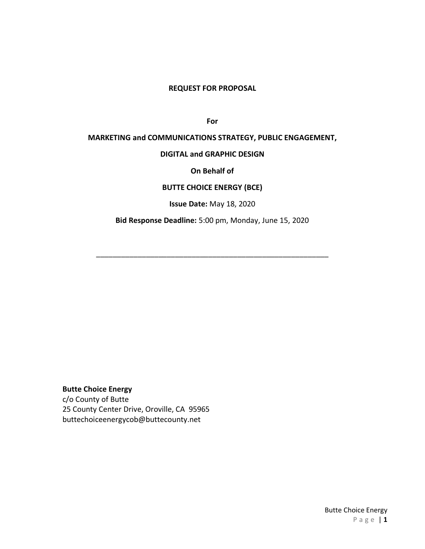#### **REQUEST FOR PROPOSAL**

**For** 

### **MARKETING and COMMUNICATIONS STRATEGY, PUBLIC ENGAGEMENT,**

#### **DIGITAL and GRAPHIC DESIGN**

#### **On Behalf of**

### **BUTTE CHOICE ENERGY (BCE)**

**Issue Date:** May 18, 2020

**Bid Response Deadline:** 5:00 pm, Monday, June 15, 2020

\_\_\_\_\_\_\_\_\_\_\_\_\_\_\_\_\_\_\_\_\_\_\_\_\_\_\_\_\_\_\_\_\_\_\_\_\_\_\_\_\_\_\_\_\_\_\_\_\_\_\_\_\_\_\_\_

**Butte Choice Energy**

c/o County of Butte 25 County Center Drive, Oroville, CA 95965 buttechoiceenergycob@buttecounty.net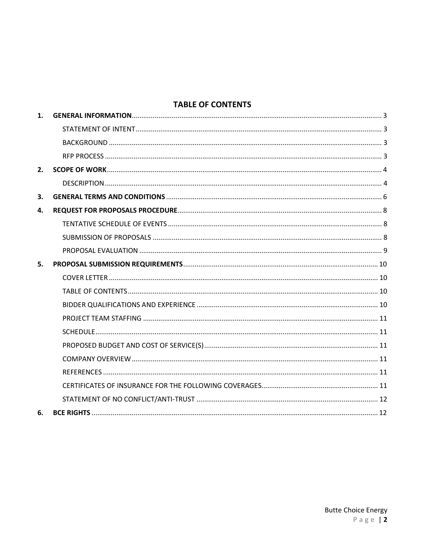# **TABLE OF CONTENTS**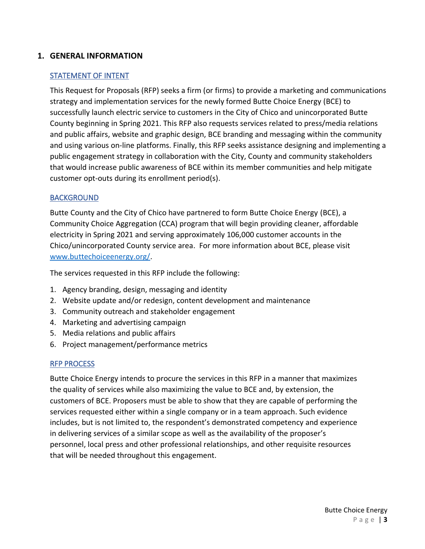### <span id="page-2-1"></span><span id="page-2-0"></span>**1. GENERAL INFORMATION**

### STATEMENT OF INTENT

This Request for Proposals (RFP) seeks a firm (or firms) to provide a marketing and communications strategy and implementation services for the newly formed Butte Choice Energy (BCE) to successfully launch electric service to customers in the City of Chico and unincorporated Butte County beginning in Spring 2021. This RFP also requests services related to press/media relations and public affairs, website and graphic design, BCE branding and messaging within the community and using various on-line platforms. Finally, this RFP seeks assistance designing and implementing a public engagement strategy in collaboration with the City, County and community stakeholders that would increase public awareness of BCE within its member communities and help mitigate customer opt-outs during its enrollment period(s).

### <span id="page-2-2"></span>BACKGROUND

Butte County and the City of Chico have partnered to form Butte Choice Energy (BCE), a Community Choice Aggregation (CCA) program that will begin providing cleaner, affordable electricity in Spring 2021 and serving approximately 106,000 customer accounts in the Chico/unincorporated County service area. For more information about BCE, please visit [www.buttechoiceenergy.org/.](http://www.buttechoiceenergy.org/)

The services requested in this RFP include the following:

- 1. Agency branding, design, messaging and identity
- 2. Website update and/or redesign, content development and maintenance
- 3. Community outreach and stakeholder engagement
- 4. Marketing and advertising campaign
- 5. Media relations and public affairs
- 6. Project management/performance metrics

#### <span id="page-2-3"></span>RFP PROCESS

Butte Choice Energy intends to procure the services in this RFP in a manner that maximizes the quality of services while also maximizing the value to BCE and, by extension, the customers of BCE. Proposers must be able to show that they are capable of performing the services requested either within a single company or in a team approach. Such evidence includes, but is not limited to, the respondent's demonstrated competency and experience in delivering services of a similar scope as well as the availability of the proposer's personnel, local press and other professional relationships, and other requisite resources that will be needed throughout this engagement.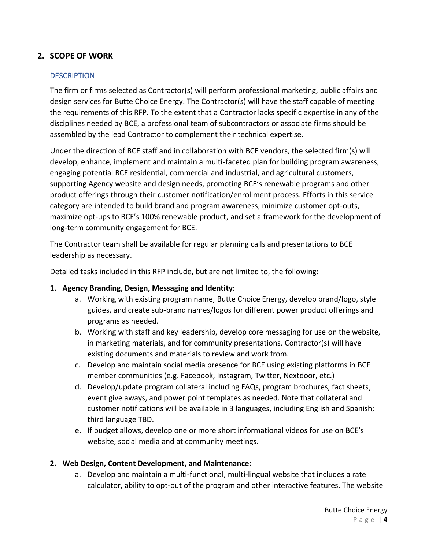# <span id="page-3-1"></span><span id="page-3-0"></span>**2. SCOPE OF WORK**

### **DESCRIPTION**

The firm or firms selected as Contractor(s) will perform professional marketing, public affairs and design services for Butte Choice Energy. The Contractor(s) will have the staff capable of meeting the requirements of this RFP. To the extent that a Contractor lacks specific expertise in any of the disciplines needed by BCE, a professional team of subcontractors or associate firms should be assembled by the lead Contractor to complement their technical expertise.

Under the direction of BCE staff and in collaboration with BCE vendors, the selected firm(s) will develop, enhance, implement and maintain a multi-faceted plan for building program awareness, engaging potential BCE residential, commercial and industrial, and agricultural customers, supporting Agency website and design needs, promoting BCE's renewable programs and other product offerings through their customer notification/enrollment process. Efforts in this service category are intended to build brand and program awareness, minimize customer opt-outs, maximize opt-ups to BCE's 100% renewable product, and set a framework for the development of long-term community engagement for BCE.

The Contractor team shall be available for regular planning calls and presentations to BCE leadership as necessary.

Detailed tasks included in this RFP include, but are not limited to, the following:

### **1. Agency Branding, Design, Messaging and Identity:**

- a. Working with existing program name, Butte Choice Energy, develop brand/logo, style guides, and create sub-brand names/logos for different power product offerings and programs as needed.
- b. Working with staff and key leadership, develop core messaging for use on the website, in marketing materials, and for community presentations. Contractor(s) will have existing documents and materials to review and work from.
- c. Develop and maintain social media presence for BCE using existing platforms in BCE member communities (e.g. Facebook, Instagram, Twitter, Nextdoor, etc.)
- d. Develop/update program collateral including FAQs, program brochures, fact sheets, event give aways, and power point templates as needed. Note that collateral and customer notifications will be available in 3 languages, including English and Spanish; third language TBD.
- e. If budget allows, develop one or more short informational videos for use on BCE's website, social media and at community meetings.

#### **2. Web Design, Content Development, and Maintenance:**

a. Develop and maintain a multi-functional, multi-lingual website that includes a rate calculator, ability to opt-out of the program and other interactive features. The website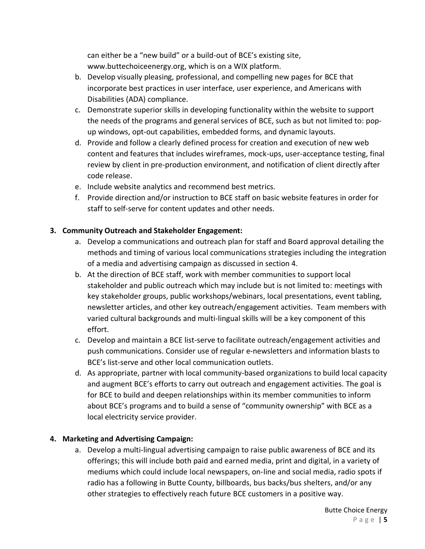can either be a "new build" or a build-out of BCE's existing site, www.buttechoiceenergy.org, which is on a WIX platform.

- b. Develop visually pleasing, professional, and compelling new pages for BCE that incorporate best practices in user interface, user experience, and Americans with Disabilities (ADA) compliance.
- c. Demonstrate superior skills in developing functionality within the website to support the needs of the programs and general services of BCE, such as but not limited to: popup windows, opt-out capabilities, embedded forms, and dynamic layouts.
- d. Provide and follow a clearly defined process for creation and execution of new web content and features that includes wireframes, mock-ups, user-acceptance testing, final review by client in pre-production environment, and notification of client directly after code release.
- e. Include website analytics and recommend best metrics.
- f. Provide direction and/or instruction to BCE staff on basic website features in order for staff to self-serve for content updates and other needs.

# **3. Community Outreach and Stakeholder Engagement:**

- a. Develop a communications and outreach plan for staff and Board approval detailing the methods and timing of various local communications strategies including the integration of a media and advertising campaign as discussed in section 4.
- b. At the direction of BCE staff, work with member communities to support local stakeholder and public outreach which may include but is not limited to: meetings with key stakeholder groups, public workshops/webinars, local presentations, event tabling, newsletter articles, and other key outreach/engagement activities. Team members with varied cultural backgrounds and multi-lingual skills will be a key component of this effort.
- c. Develop and maintain a BCE list-serve to facilitate outreach/engagement activities and push communications. Consider use of regular e-newsletters and information blasts to BCE's list-serve and other local communication outlets.
- d. As appropriate, partner with local community-based organizations to build local capacity and augment BCE's efforts to carry out outreach and engagement activities. The goal is for BCE to build and deepen relationships within its member communities to inform about BCE's programs and to build a sense of "community ownership" with BCE as a local electricity service provider.

## **4. Marketing and Advertising Campaign:**

a. Develop a multi-lingual advertising campaign to raise public awareness of BCE and its offerings; this will include both paid and earned media, print and digital, in a variety of mediums which could include local newspapers, on-line and social media, radio spots if radio has a following in Butte County, billboards, bus backs/bus shelters, and/or any other strategies to effectively reach future BCE customers in a positive way.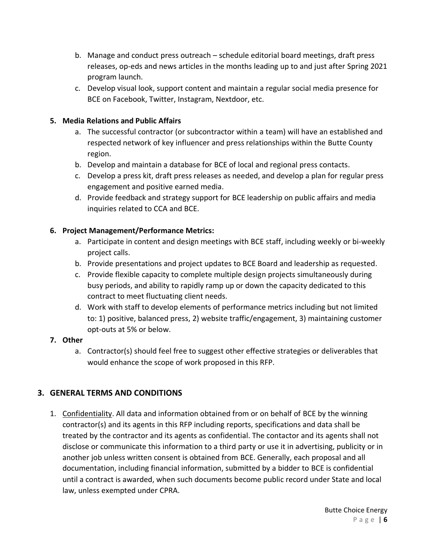- b. Manage and conduct press outreach schedule editorial board meetings, draft press releases, op-eds and news articles in the months leading up to and just after Spring 2021 program launch.
- c. Develop visual look, support content and maintain a regular social media presence for BCE on Facebook, Twitter, Instagram, Nextdoor, etc.

### **5. Media Relations and Public Affairs**

- a. The successful contractor (or subcontractor within a team) will have an established and respected network of key influencer and press relationships within the Butte County region.
- b. Develop and maintain a database for BCE of local and regional press contacts.
- c. Develop a press kit, draft press releases as needed, and develop a plan for regular press engagement and positive earned media.
- d. Provide feedback and strategy support for BCE leadership on public affairs and media inquiries related to CCA and BCE.

### **6. Project Management/Performance Metrics:**

- a. Participate in content and design meetings with BCE staff, including weekly or bi-weekly project calls.
- b. Provide presentations and project updates to BCE Board and leadership as requested.
- c. Provide flexible capacity to complete multiple design projects simultaneously during busy periods, and ability to rapidly ramp up or down the capacity dedicated to this contract to meet fluctuating client needs.
- d. Work with staff to develop elements of performance metrics including but not limited to: 1) positive, balanced press, 2) website traffic/engagement, 3) maintaining customer opt-outs at 5% or below.

### **7. Other**

a. Contractor(s) should feel free to suggest other effective strategies or deliverables that would enhance the scope of work proposed in this RFP.

# <span id="page-5-0"></span>**3. GENERAL TERMS AND CONDITIONS**

1. Confidentiality. All data and information obtained from or on behalf of BCE by the winning contractor(s) and its agents in this RFP including reports, specifications and data shall be treated by the contractor and its agents as confidential. The contactor and its agents shall not disclose or communicate this information to a third party or use it in advertising, publicity or in another job unless written consent is obtained from BCE. Generally, each proposal and all documentation, including financial information, submitted by a bidder to BCE is confidential until a contract is awarded, when such documents become public record under State and local law, unless exempted under CPRA.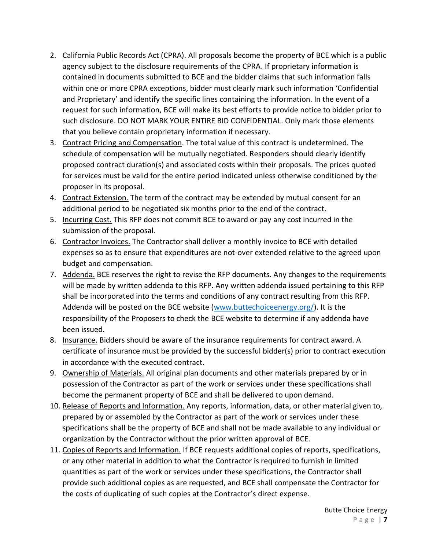- 2. California Public Records Act (CPRA). All proposals become the property of BCE which is a public agency subject to the disclosure requirements of the CPRA. If proprietary information is contained in documents submitted to BCE and the bidder claims that such information falls within one or more CPRA exceptions, bidder must clearly mark such information 'Confidential and Proprietary' and identify the specific lines containing the information. In the event of a request for such information, BCE will make its best efforts to provide notice to bidder prior to such disclosure. DO NOT MARK YOUR ENTIRE BID CONFIDENTIAL. Only mark those elements that you believe contain proprietary information if necessary.
- 3. Contract Pricing and Compensation. The total value of this contract is undetermined. The schedule of compensation will be mutually negotiated. Responders should clearly identify proposed contract duration(s) and associated costs within their proposals. The prices quoted for services must be valid for the entire period indicated unless otherwise conditioned by the proposer in its proposal.
- 4. Contract Extension. The term of the contract may be extended by mutual consent for an additional period to be negotiated six months prior to the end of the contract.
- 5. Incurring Cost. This RFP does not commit BCE to award or pay any cost incurred in the submission of the proposal.
- 6. Contractor Invoices. The Contractor shall deliver a monthly invoice to BCE with detailed expenses so as to ensure that expenditures are not-over extended relative to the agreed upon budget and compensation.
- 7. Addenda. BCE reserves the right to revise the RFP documents. Any changes to the requirements will be made by written addenda to this RFP. Any written addenda issued pertaining to this RFP shall be incorporated into the terms and conditions of any contract resulting from this RFP. Addenda will be posted on the BCE website [\(www.buttechoiceenergy.org/\)](http://www.buttechoiceenergy.org/). It is the responsibility of the Proposers to check the BCE website to determine if any addenda have been issued.
- 8. Insurance. Bidders should be aware of the insurance requirements for contract award. A certificate of insurance must be provided by the successful bidder(s) prior to contract execution in accordance with the executed contract.
- 9. Ownership of Materials. All original plan documents and other materials prepared by or in possession of the Contractor as part of the work or services under these specifications shall become the permanent property of BCE and shall be delivered to upon demand.
- 10. Release of Reports and Information. Any reports, information, data, or other material given to, prepared by or assembled by the Contractor as part of the work or services under these specifications shall be the property of BCE and shall not be made available to any individual or organization by the Contractor without the prior written approval of BCE.
- 11. Copies of Reports and Information. If BCE requests additional copies of reports, specifications, or any other material in addition to what the Contractor is required to furnish in limited quantities as part of the work or services under these specifications, the Contractor shall provide such additional copies as are requested, and BCE shall compensate the Contractor for the costs of duplicating of such copies at the Contractor's direct expense.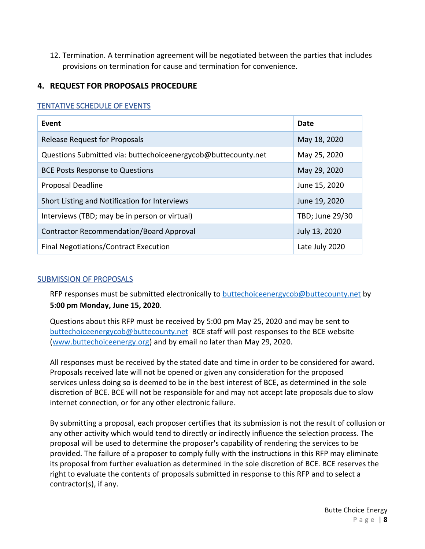12. Termination. A termination agreement will be negotiated between the parties that includes provisions on termination for cause and termination for convenience.

## <span id="page-7-0"></span>**4. REQUEST FOR PROPOSALS PROCEDURE**

### <span id="page-7-1"></span>TENTATIVE SCHEDULE OF EVENTS

| Event                                                         | Date            |
|---------------------------------------------------------------|-----------------|
| Release Request for Proposals                                 | May 18, 2020    |
| Questions Submitted via: buttechoiceenergycob@buttecounty.net | May 25, 2020    |
| <b>BCE Posts Response to Questions</b>                        | May 29, 2020    |
| <b>Proposal Deadline</b>                                      | June 15, 2020   |
| Short Listing and Notification for Interviews                 | June 19, 2020   |
| Interviews (TBD; may be in person or virtual)                 | TBD; June 29/30 |
| Contractor Recommendation/Board Approval                      | July 13, 2020   |
| <b>Final Negotiations/Contract Execution</b>                  | Late July 2020  |

### <span id="page-7-2"></span>SUBMISSION OF PROPOSALS

RFP responses must be submitted electronically to [buttechoiceenergycob@buttecounty.net](mailto:buttechoiceenergycob@buttecounty.net) by **5:00 pm Monday, June 15, 2020**.

Questions about this RFP must be received by 5:00 pm May 25, 2020 and may be sent to [buttechoiceenergycob@buttecounty.net](mailto:buttechoiceenergycob@buttecounty.net) BCE staff will post responses to the BCE website [\(www.buttechoiceenergy.org\)](http://www.buttechoiceenergy.org/) and by email no later than May 29, 2020.

All responses must be received by the stated date and time in order to be considered for award. Proposals received late will not be opened or given any consideration for the proposed services unless doing so is deemed to be in the best interest of BCE, as determined in the sole discretion of BCE. BCE will not be responsible for and may not accept late proposals due to slow internet connection, or for any other electronic failure.

By submitting a proposal, each proposer certifies that its submission is not the result of collusion or any other activity which would tend to directly or indirectly influence the selection process. The proposal will be used to determine the proposer's capability of rendering the services to be provided. The failure of a proposer to comply fully with the instructions in this RFP may eliminate its proposal from further evaluation as determined in the sole discretion of BCE. BCE reserves the right to evaluate the contents of proposals submitted in response to this RFP and to select a contractor(s), if any.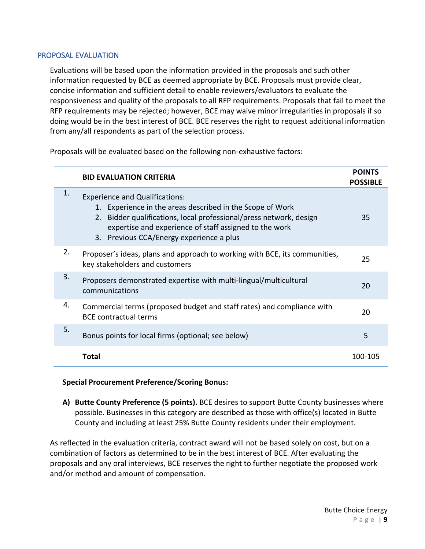#### <span id="page-8-0"></span>PROPOSAL EVALUATION

Evaluations will be based upon the information provided in the proposals and such other information requested by BCE as deemed appropriate by BCE. Proposals must provide clear, concise information and sufficient detail to enable reviewers/evaluators to evaluate the responsiveness and quality of the proposals to all RFP requirements. Proposals that fail to meet the RFP requirements may be rejected; however, BCE may waive minor irregularities in proposals if so doing would be in the best interest of BCE. BCE reserves the right to request additional information from any/all respondents as part of the selection process.

Proposals will be evaluated based on the following non-exhaustive factors:

|    | <b>BID EVALUATION CRITERIA</b>                                                                                                                                                                                                                                                 | <b>POINTS</b><br><b>POSSIBLE</b> |
|----|--------------------------------------------------------------------------------------------------------------------------------------------------------------------------------------------------------------------------------------------------------------------------------|----------------------------------|
| 1. | <b>Experience and Qualifications:</b><br>1. Experience in the areas described in the Scope of Work<br>2. Bidder qualifications, local professional/press network, design<br>expertise and experience of staff assigned to the work<br>3. Previous CCA/Energy experience a plus | 35                               |
| 2. | Proposer's ideas, plans and approach to working with BCE, its communities,<br>key stakeholders and customers                                                                                                                                                                   | 25                               |
| 3. | Proposers demonstrated expertise with multi-lingual/multicultural<br>communications                                                                                                                                                                                            | 20                               |
| 4. | Commercial terms (proposed budget and staff rates) and compliance with<br><b>BCE contractual terms</b>                                                                                                                                                                         | 20                               |
| 5. | Bonus points for local firms (optional; see below)                                                                                                                                                                                                                             | 5                                |
|    | Total                                                                                                                                                                                                                                                                          | 100-105                          |

#### **Special Procurement Preference/Scoring Bonus:**

**A) Butte County Preference (5 points).** BCE desires to support Butte County businesses where possible. Businesses in this category are described as those with office(s) located in Butte County and including at least 25% Butte County residents under their employment.

As reflected in the evaluation criteria, contract award will not be based solely on cost, but on a combination of factors as determined to be in the best interest of BCE. After evaluating the proposals and any oral interviews, BCE reserves the right to further negotiate the proposed work and/or method and amount of compensation.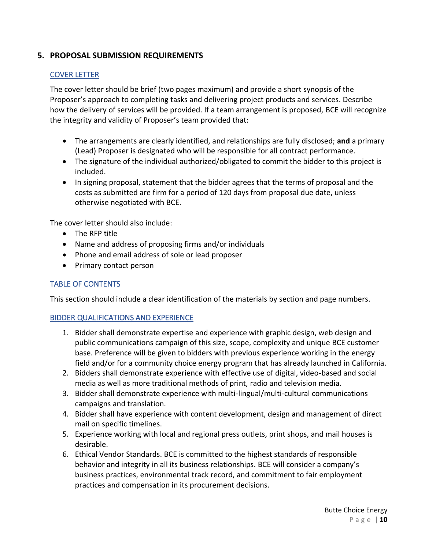## <span id="page-9-1"></span><span id="page-9-0"></span>**5. PROPOSAL SUBMISSION REQUIREMENTS**

### COVER LETTER

The cover letter should be brief (two pages maximum) and provide a short synopsis of the Proposer's approach to completing tasks and delivering project products and services. Describe how the delivery of services will be provided. If a team arrangement is proposed, BCE will recognize the integrity and validity of Proposer's team provided that:

- The arrangements are clearly identified, and relationships are fully disclosed; **and** a primary (Lead) Proposer is designated who will be responsible for all contract performance.
- The signature of the individual authorized/obligated to commit the bidder to this project is included.
- In signing proposal, statement that the bidder agrees that the terms of proposal and the costs as submitted are firm for a period of 120 days from proposal due date, unless otherwise negotiated with BCE.

The cover letter should also include:

- The RFP title
- Name and address of proposing firms and/or individuals
- Phone and email address of sole or lead proposer
- Primary contact person

### <span id="page-9-2"></span>TABLE OF CONTENTS

This section should include a clear identification of the materials by section and page numbers.

### <span id="page-9-3"></span>BIDDER QUALIFICATIONS AND EXPERIENCE

- 1. Bidder shall demonstrate expertise and experience with graphic design, web design and public communications campaign of this size, scope, complexity and unique BCE customer base. Preference will be given to bidders with previous experience working in the energy field and/or for a community choice energy program that has already launched in California.
- 2. Bidders shall demonstrate experience with effective use of digital, video-based and social media as well as more traditional methods of print, radio and television media.
- 3. Bidder shall demonstrate experience with multi-lingual/multi-cultural communications campaigns and translation.
- 4. Bidder shall have experience with content development, design and management of direct mail on specific timelines.
- 5. Experience working with local and regional press outlets, print shops, and mail houses is desirable.
- 6. Ethical Vendor Standards. BCE is committed to the highest standards of responsible behavior and integrity in all its business relationships. BCE will consider a company's business practices, environmental track record, and commitment to fair employment practices and compensation in its procurement decisions.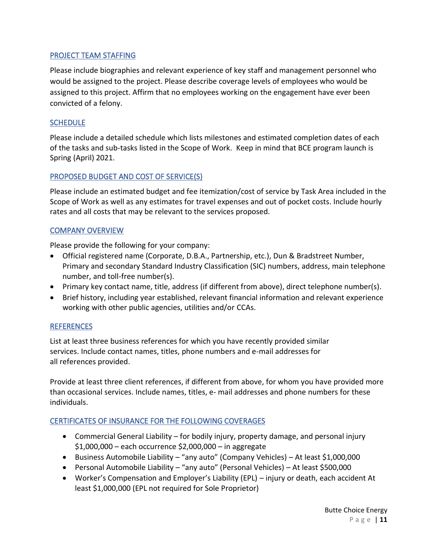### <span id="page-10-0"></span>PROJECT TEAM STAFFING

Please include biographies and relevant experience of key staff and management personnel who would be assigned to the project. Please describe coverage levels of employees who would be assigned to this project. Affirm that no employees working on the engagement have ever been convicted of a felony.

### <span id="page-10-1"></span>**SCHEDULE**

Please include a detailed schedule which lists milestones and estimated completion dates of each of the tasks and sub-tasks listed in the Scope of Work. Keep in mind that BCE program launch is Spring (April) 2021.

### <span id="page-10-2"></span>PROPOSED BUDGET AND COST OF SERVICE(S)

Please include an estimated budget and fee itemization/cost of service by Task Area included in the Scope of Work as well as any estimates for travel expenses and out of pocket costs. Include hourly rates and all costs that may be relevant to the services proposed.

### <span id="page-10-3"></span>COMPANY OVERVIEW

Please provide the following for your company:

- Official registered name (Corporate, D.B.A., Partnership, etc.), Dun & Bradstreet Number, Primary and secondary Standard Industry Classification (SIC) numbers, address, main telephone number, and toll-free number(s).
- Primary key contact name, title, address (if different from above), direct telephone number(s).
- Brief history, including year established, relevant financial information and relevant experience working with other public agencies, utilities and/or CCAs.

#### <span id="page-10-4"></span>**REFERENCES**

List at least three business references for which you have recently provided similar services. Include contact names, titles, phone numbers and e-mail addresses for all references provided.

Provide at least three client references, if different from above, for whom you have provided more than occasional services. Include names, titles, e- mail addresses and phone numbers for these individuals.

### <span id="page-10-5"></span>CERTIFICATES OF INSURANCE FOR THE FOLLOWING COVERAGES

- Commercial General Liability for bodily injury, property damage, and personal injury \$1,000,000 – each occurrence \$2,000,000 – in aggregate
- Business Automobile Liability "any auto" (Company Vehicles) At least \$1,000,000
- Personal Automobile Liability "any auto" (Personal Vehicles) At least \$500,000
- Worker's Compensation and Employer's Liability (EPL) injury or death, each accident At least \$1,000,000 (EPL not required for Sole Proprietor)